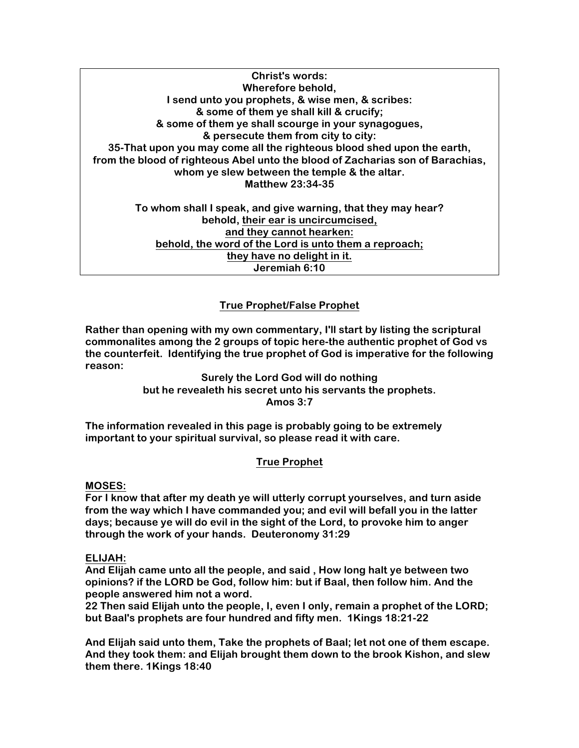**Christ's words: Wherefore behold, I send unto you prophets, & wise men, & scribes: & some of them ye shall kill & crucify; & some of them ye shall scourge in your synagogues, & persecute them from city to city: 35-That upon you may come all the righteous blood shed upon the earth, from the blood of righteous Abel unto the blood of Zacharias son of Barachias, whom ye slew between the temple & the altar. Matthew 23:34-35 To whom shall I speak, and give warning, that they may hear? behold, their ear is uncircumcised, and they cannot hearken:**

**behold, the word of the Lord is unto them a reproach; they have no delight in it. Jeremiah 6:10**

# **True Prophet/False Prophet**

**Rather than opening with my own commentary, I'll start by listing the scriptural commonalites among the 2 groups of topic here-the authentic prophet of God vs the counterfeit. Identifying the true prophet of God is imperative for the following reason:**

> **Surely the Lord God will do nothing but he revealeth his secret unto his servants the prophets. Amos 3:7**

**The information revealed in this page is probably going to be extremely important to your spiritual survival, so please read it with care.**

## **True Prophet**

**MOSES:**

**For I know that after my death ye will utterly corrupt yourselves, and turn aside from the way which I have commanded you; and evil will befall you in the latter days; because ye will do evil in the sight of the Lord, to provoke him to anger through the work of your hands. Deuteronomy 31:29**

### **ELIJAH:**

**And Elijah came unto all the people, and said , How long halt ye between two opinions? if the LORD be God, follow him: but if Baal, then follow him. And the people answered him not a word.**

**22 Then said Elijah unto the people, I, even I only, remain a prophet of the LORD; but Baal's prophets are four hundred and fifty men. 1Kings 18:21-22**

**And Elijah said unto them, Take the prophets of Baal; let not one of them escape. And they took them: and Elijah brought them down to the brook Kishon, and slew them there. 1Kings 18:40**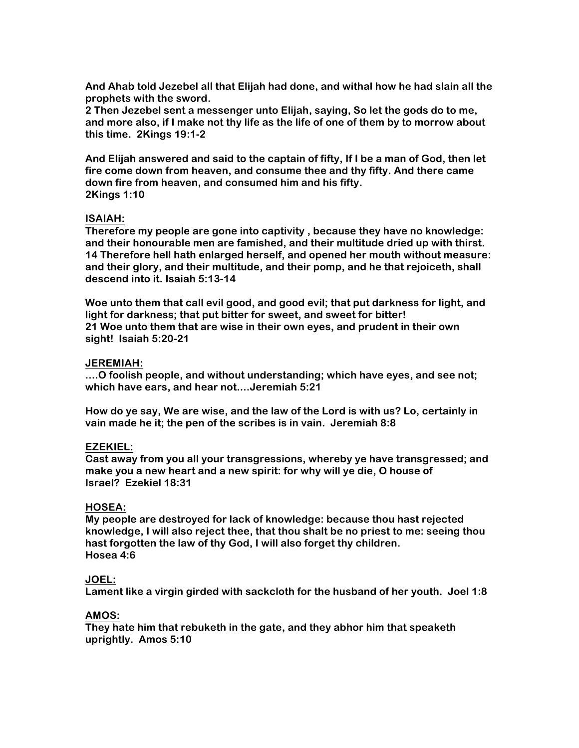**And Ahab told Jezebel all that Elijah had done, and withal how he had slain all the prophets with the sword.**

**2 Then Jezebel sent a messenger unto Elijah, saying, So let the gods do to me, and more also, if I make not thy life as the life of one of them by to morrow about this time. 2Kings 19:1-2**

**And Elijah answered and said to the captain of fifty, If I be a man of God, then let fire come down from heaven, and consume thee and thy fifty. And there came down fire from heaven, and consumed him and his fifty. 2Kings 1:10**

### **ISAIAH:**

**Therefore my people are gone into captivity , because they have no knowledge: and their honourable men are famished, and their multitude dried up with thirst. 14 Therefore hell hath enlarged herself, and opened her mouth without measure: and their glory, and their multitude, and their pomp, and he that rejoiceth, shall descend into it. Isaiah 5:13-14**

**Woe unto them that call evil good, and good evil; that put darkness for light, and light for darkness; that put bitter for sweet, and sweet for bitter! 21 Woe unto them that are wise in their own eyes, and prudent in their own sight! Isaiah 5:20-21**

### **JEREMIAH:**

**....O foolish people, and without understanding; which have eyes, and see not; which have ears, and hear not....Jeremiah 5:21**

**How do ye say, We are wise, and the law of the Lord is with us? Lo, certainly in vain made he it; the pen of the scribes is in vain. Jeremiah 8:8**

### **EZEKIEL:**

**Cast away from you all your transgressions, whereby ye have transgressed; and make you a new heart and a new spirit: for why will ye die, O house of Israel? Ezekiel 18:31**

### **HOSEA:**

**My people are destroyed for lack of knowledge: because thou hast rejected knowledge, I will also reject thee, that thou shalt be no priest to me: seeing thou hast forgotten the law of thy God, I will also forget thy children. Hosea 4:6**

### **JOEL:**

**Lament like a virgin girded with sackcloth for the husband of her youth. Joel 1:8**

## **AMOS:**

**They hate him that rebuketh in the gate, and they abhor him that speaketh uprightly. Amos 5:10**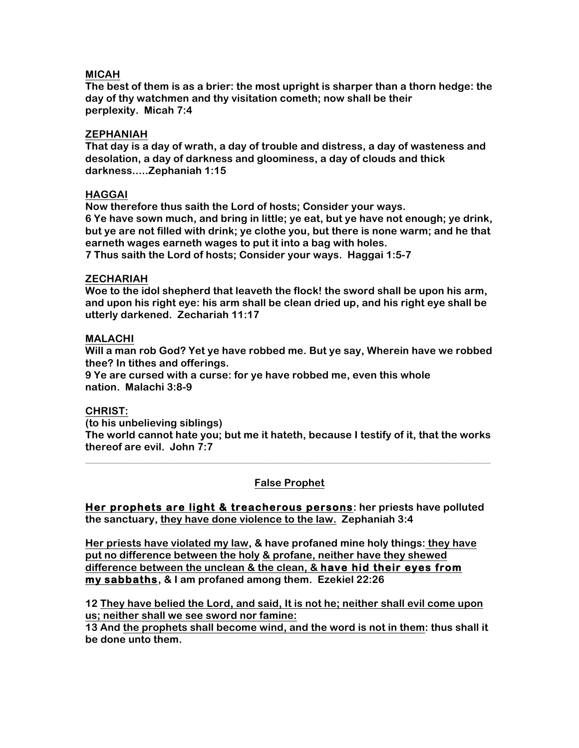## **MICAH**

**The best of them is as a brier: the most upright is sharper than a thorn hedge: the day of thy watchmen and thy visitation cometh; now shall be their perplexity. Micah 7:4**

## **ZEPHANIAH**

**That day is a day of wrath, a day of trouble and distress, a day of wasteness and desolation, a day of darkness and gloominess, a day of clouds and thick darkness.....Zephaniah 1:15**

## **HAGGAI**

**Now therefore thus saith the Lord of hosts; Consider your ways. 6 Ye have sown much, and bring in little; ye eat, but ye have not enough; ye drink, but ye are not filled with drink; ye clothe you, but there is none warm; and he that earneth wages earneth wages to put it into a bag with holes. 7 Thus saith the Lord of hosts; Consider your ways. Haggai 1:5-7**

### **ZECHARIAH**

**Woe to the idol shepherd that leaveth the flock! the sword shall be upon his arm, and upon his right eye: his arm shall be clean dried up, and his right eye shall be utterly darkened. Zechariah 11:17**

## **MALACHI**

**Will a man rob God? Yet ye have robbed me. But ye say, Wherein have we robbed thee? In tithes and offerings.**

**9 Ye are cursed with a curse: for ye have robbed me, even this whole nation. Malachi 3:8-9**

### **CHRIST:**

**(to his unbelieving siblings)**

**The world cannot hate you; but me it hateth, because I testify of it, that the works thereof are evil. John 7:7 \_\_\_\_\_\_\_\_\_\_\_\_\_\_\_\_\_\_\_\_\_\_\_\_\_\_\_\_\_\_\_\_\_\_\_\_\_\_\_\_\_\_\_\_\_\_\_\_\_\_\_\_\_\_\_\_\_\_\_\_\_\_\_\_\_\_\_\_\_\_\_\_\_\_\_\_\_\_**

## **False Prophet**

**Her prophets are light & treacherous persons: her priests have polluted the sanctuary, they have done violence to the law. Zephaniah 3:4**

**Her priests have violated my law, & have profaned mine holy things: they have put no difference between the holy & profane, neither have they shewed difference between the unclean & the clean, & have hid their eyes from my sabbaths, & I am profaned among them. Ezekiel 22:26**

**12 They have belied the Lord, and said, It is not he; neither shall evil come upon us; neither shall we see sword nor famine:**

**13 And the prophets shall become wind, and the word is not in them: thus shall it be done unto them.**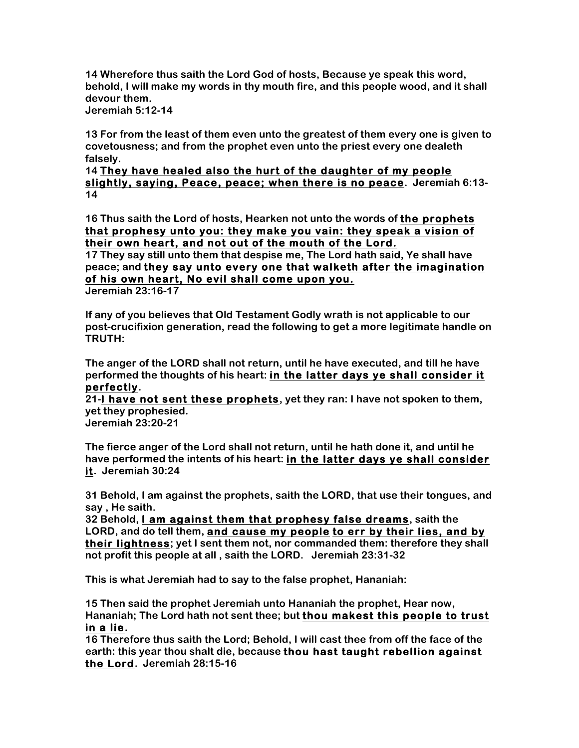**14 Wherefore thus saith the Lord God of hosts, Because ye speak this word, behold, I will make my words in thy mouth fire, and this people wood, and it shall devour them.**

**Jeremiah 5:12-14**

**13 For from the least of them even unto the greatest of them every one is given to covetousness; and from the prophet even unto the priest every one dealeth falsely.**

## **14 They have healed also the hurt of the daughter of my people slightly, saying, Peace, peace; when there is no peace. Jeremiah 6:13- 14**

**16 Thus saith the Lord of hosts, Hearken not unto the words of the prophets that prophesy unto you: they make you vain: they speak a vision of their own heart, and not out of the mouth of the Lord.**

**17 They say still unto them that despise me, The Lord hath said, Ye shall have peace; and they say unto every one that walketh after the imagination of his own heart, No evil shall come upon you.**

**Jeremiah 23:16-17**

**If any of you believes that Old Testament Godly wrath is not applicable to our post-crucifixion generation, read the following to get a more legitimate handle on TRUTH:**

**The anger of the LORD shall not return, until he have executed, and till he have performed the thoughts of his heart: in the latter days ye shall consider it perfectly.**

**21-I have not sent these prophets, yet they ran: I have not spoken to them, yet they prophesied.**

**Jeremiah 23:20-21**

**The fierce anger of the Lord shall not return, until he hath done it, and until he have performed the intents of his heart: in the latter days ye shall consider it. Jeremiah 30:24**

**31 Behold, I am against the prophets, saith the LORD, that use their tongues, and say , He saith.**

**32 Behold, I am against them that prophesy false dreams, saith the LORD, and do tell them, and cause my people to err by their lies, and by their lightness; yet I sent them not, nor commanded them: therefore they shall not profit this people at all , saith the LORD. Jeremiah 23:31-32**

**This is what Jeremiah had to say to the false prophet, Hananiah:**

**15 Then said the prophet Jeremiah unto Hananiah the prophet, Hear now, Hananiah; The Lord hath not sent thee; but thou makest this people to trust in a lie.**

**16 Therefore thus saith the Lord; Behold, I will cast thee from off the face of the earth: this year thou shalt die, because thou hast taught rebellion against the Lord. Jeremiah 28:15-16**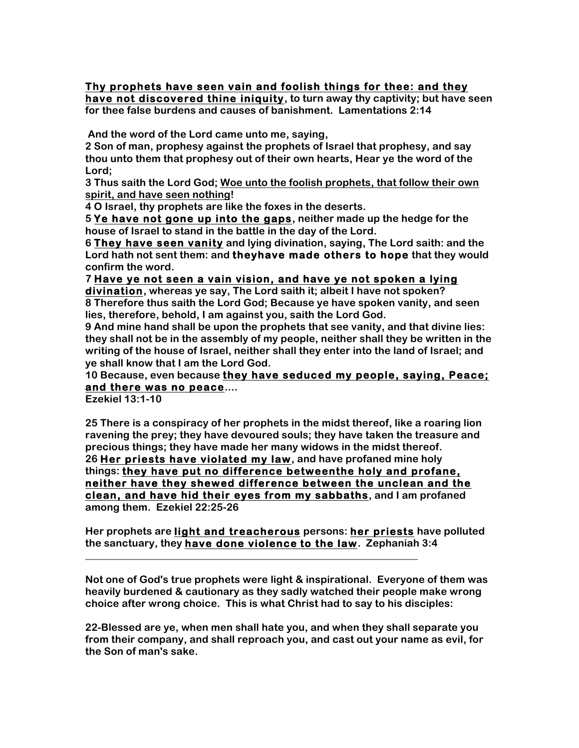#### **Thy prophets have seen vain and foolish things for thee: and they have not discovered thine iniquity, to turn away thy captivity; but have seen for thee false burdens and causes of banishment. Lamentations 2:14**

**And the word of the Lord came unto me, saying,**

**2 Son of man, prophesy against the prophets of Israel that prophesy, and say thou unto them that prophesy out of their own hearts, Hear ye the word of the Lord;**

**3 Thus saith the Lord God; Woe unto the foolish prophets, that follow their own spirit, and have seen nothing!**

**4 O Israel, thy prophets are like the foxes in the deserts.**

**5 Ye have not gone up into the gaps, neither made up the hedge for the house of Israel to stand in the battle in the day of the Lord.**

**6 They have seen vanity and lying divination, saying, The Lord saith: and the Lord hath not sent them: and theyhave made others to hope that they would confirm the word.**

**7 Have ye not seen a vain vision, and have ye not spoken a lying** 

**divination, whereas ye say, The Lord saith it; albeit I have not spoken? 8 Therefore thus saith the Lord God; Because ye have spoken vanity, and seen lies, therefore, behold, I am against you, saith the Lord God.**

**9 And mine hand shall be upon the prophets that see vanity, and that divine lies: they shall not be in the assembly of my people, neither shall they be written in the writing of the house of Israel, neither shall they enter into the land of Israel; and ye shall know that I am the Lord God.**

**10 Because, even because they have seduced my people, saying, Peace; and there was no peace....**

**Ezekiel 13:1-10**

**25 There is a conspiracy of her prophets in the midst thereof, like a roaring lion ravening the prey; they have devoured souls; they have taken the treasure and precious things; they have made her many widows in the midst thereof. 26 Her priests have violated my law, and have profaned mine holy things: they have put no difference betweenthe holy and profane, neither have they shewed difference between the unclean and the clean, and have hid their eyes from my sabbaths, and I am profaned among them. Ezekiel 22:25-26**

**Her prophets are light and treacherous persons: her priests have polluted the sanctuary, they have done violence to the law. Zephaniah 3:4**

**\_\_\_\_\_\_\_\_\_\_\_\_\_\_\_\_\_\_\_\_\_\_\_\_\_\_\_\_\_\_\_\_\_\_\_\_\_\_\_\_\_\_\_\_\_\_\_\_\_\_\_\_\_\_\_\_\_\_\_\_\_\_\_\_**

**Not one of God's true prophets were light & inspirational. Everyone of them was heavily burdened & cautionary as they sadly watched their people make wrong choice after wrong choice. This is what Christ had to say to his disciples:**

**22-Blessed are ye, when men shall hate you, and when they shall separate you from their company, and shall reproach you, and cast out your name as evil, for the Son of man's sake.**